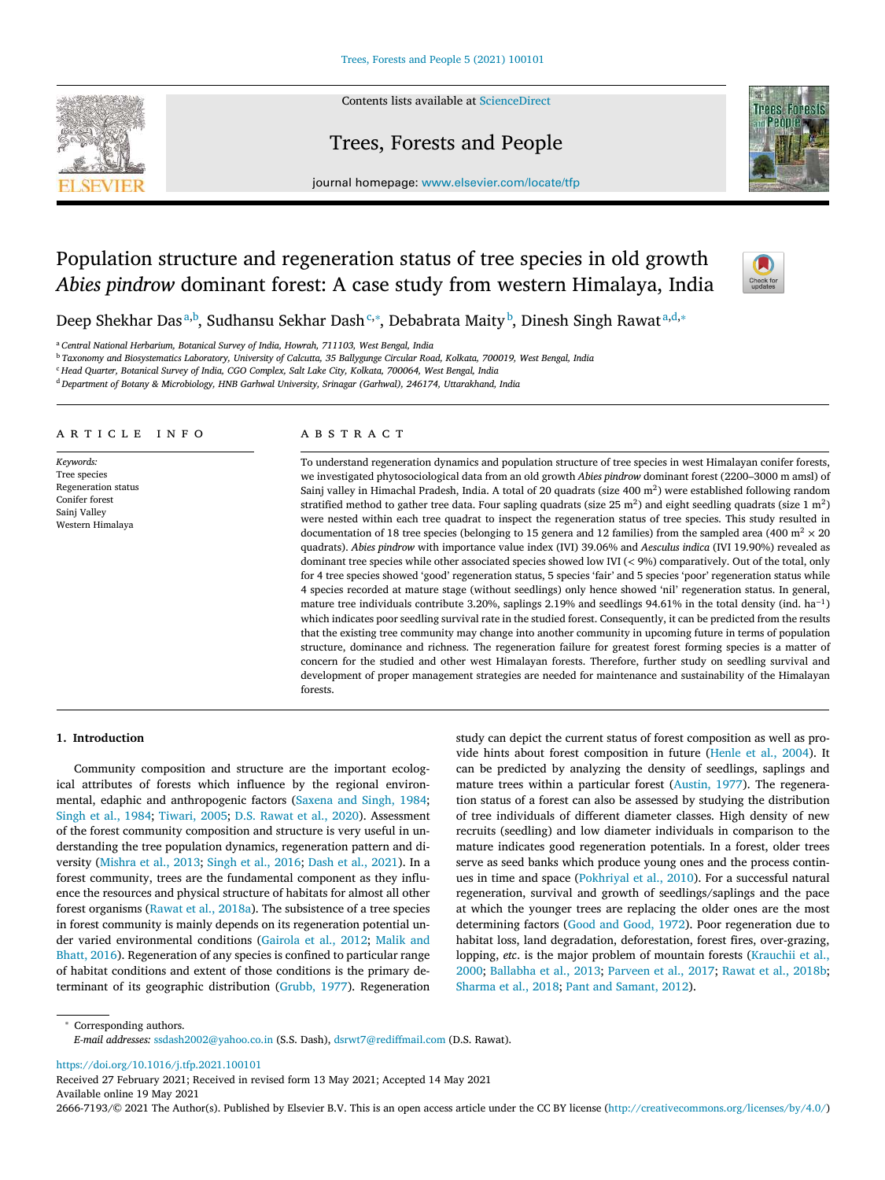#### Contents lists available at ScienceDirect

# Trees, Forests and People



journal homepage: www.elsevier.com/locate/tfp

# Population structure and regeneration status of tree species in old growth *Abies pindrow* dominant forest: A case study from western Himalaya, India



Deep Shekhar Das<sup>a,b</sup>, Sudhansu Sekhar Dash<sup>c,</sup>\*, Debabrata Maity<sup>b</sup>, Dinesh Singh Rawat<sup>a,d,</sup>\*

<sup>a</sup> *Central National Herbarium, Botanical Survey of India, Howrah, 711103, West Bengal, India*

<sup>b</sup> Taxonomy and Biosystematics Laboratory, University of Calcutta, 35 Ballygunge Circular Road, Kolkata, 700019, West Bengal, India

<sup>c</sup> *Head Quarter, Botanical Survey of India, CGO Complex, Salt Lake City, Kolkata, 700064, West Bengal, India*

<sup>d</sup> *Department of Botany & Microbiology, HNB Garhwal University, Srinagar (Garhwal), 246174, Uttarakhand, India*

## a r t i c l e i n f o

*Keywords:* Tree species Regeneration status Conifer forest Sainj Valley Western Himalaya

# a b s t r a c t

To understand regeneration dynamics and population structure of tree species in west Himalayan conifer forests, we investigated phytosociological data from an old growth *Abies pindrow* dominant forest (2200–3000 m amsl) of Sainj valley in Himachal Pradesh, India. A total of 20 quadrats (size 400 m<sup>2</sup>) were established following random stratified method to gather tree data. Four sapling quadrats (size 25 m<sup>2</sup>) and eight seedling quadrats (size 1 m<sup>2</sup>) were nested within each tree quadrat to inspect the regeneration status of tree species. This study resulted in documentation of 18 tree species (belonging to 15 genera and 12 families) from the sampled area (400 m<sup>2</sup>  $\times$  20 quadrats). *Abies pindrow* with importance value index (IVI) 39.06% and *Aesculus indica* (IVI 19.90%) revealed as dominant tree species while other associated species showed low IVI (*<* 9%) comparatively. Out of the total, only for 4 tree species showed 'good' regeneration status, 5 species 'fair' and 5 species 'poor' regeneration status while 4 species recorded at mature stage (without seedlings) only hence showed 'nil' regeneration status. In general, mature tree individuals contribute 3.20%, saplings 2.19% and seedlings 94.61% in the total density (ind. ha<sup>-1</sup>) which indicates poor seedling survival rate in the studied forest. Consequently, it can be predicted from the results that the existing tree community may change into another community in upcoming future in terms of population structure, dominance and richness. The regeneration failure for greatest forest forming species is a matter of concern for the studied and other west Himalayan forests. Therefore, further study on seedling survival and development of proper management strategies are needed for maintenance and sustainability of the Himalayan forests.

#### **1. Introduction**

Community composition and structure are the important ecological attributes of forests which influence by the regional environmental, edaphic and anthropogenic factors (Saxena and Singh, 1984; Singh et al., 1984; Tiwari, 2005; D.S. Rawat et al., 2020). Assessment of the forest community composition and structure is very useful in understanding the tree population dynamics, regeneration pattern and diversity (Mishra et al., 2013; Singh et al., 2016; Dash et al., 2021). In a forest community, trees are the fundamental component as they influence the resources and physical structure of habitats for almost all other forest organisms (Rawat et al., 2018a). The subsistence of a tree species in forest community is mainly depends on its regeneration potential under varied environmental conditions (Gairola et al., 2012; Malik and Bhatt, 2016). Regeneration of any species is confined to particular range of habitat conditions and extent of those conditions is the primary determinant of its geographic distribution (Grubb, 1977). Regeneration

study can depict the current status of forest composition as well as provide hints about forest composition in future (Henle et al., 2004). It can be predicted by analyzing the density of seedlings, saplings and mature trees within a particular forest (Austin, 1977). The regeneration status of a forest can also be assessed by studying the distribution of tree individuals of different diameter classes. High density of new recruits (seedling) and low diameter individuals in comparison to the mature indicates good regeneration potentials. In a forest, older trees serve as seed banks which produce young ones and the process continues in time and space (Pokhriyal et al., 2010). For a successful natural regeneration, survival and growth of seedlings/saplings and the pace at which the younger trees are replacing the older ones are the most determining factors (Good and Good, 1972). Poor regeneration due to habitat loss, land degradation, deforestation, forest fires, over-grazing, lopping, *etc*. is the major problem of mountain forests (Krauchii et al., 2000; Ballabha et al., 2013; Parveen et al., 2017; Rawat et al., 2018b; Sharma et al., 2018; Pant and Samant, 2012).

<sup>∗</sup> Corresponding authors. *E-mail addresses:* ssdash2002@yahoo.co.in (S.S. Dash), dsrwt7@rediffmail.com (D.S. Rawat).

https://doi.org/10.1016/j.tfp.2021.100101

Received 27 February 2021; Received in revised form 13 May 2021; Accepted 14 May 2021 Available online 19 May 2021

2666-7193/© 2021 The Author(s). Published by Elsevier B.V. This is an open access article under the CC BY license (http://creativecommons.org/licenses/by/4.0/)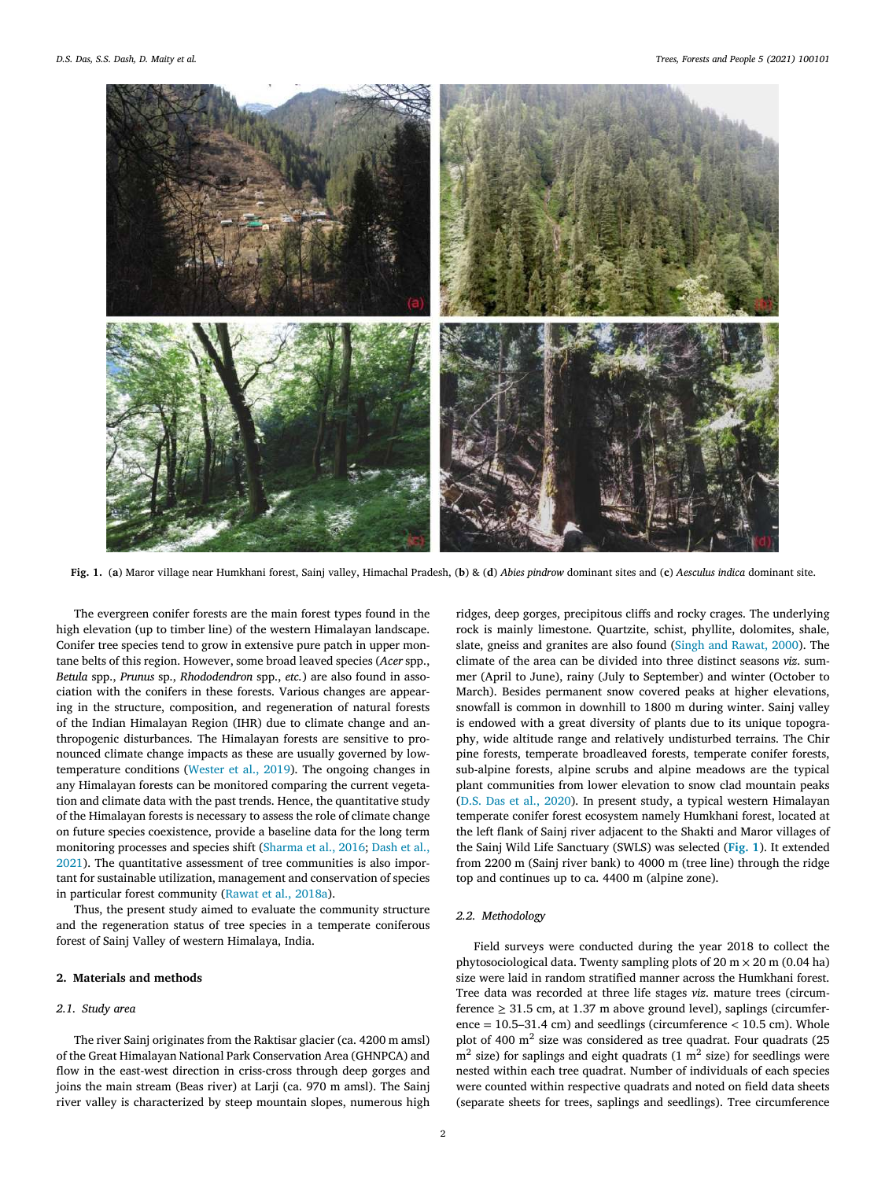

Fig. 1. (a) Maror village near Humkhani forest, Sainj valley, Himachal Pradesh, (b) & (d) Abies pindrow dominant sites and (c) Aesculus indica dominant site.

The evergreen conifer forests are the main forest types found in the high elevation (up to timber line) of the western Himalayan landscape. Conifer tree species tend to grow in extensive pure patch in upper montane belts of this region. However, some broad leaved species (*Acer* spp., *Betula* spp., *Prunus* sp., *Rhododendron* spp., *etc.*) are also found in association with the conifers in these forests. Various changes are appearing in the structure, composition, and regeneration of natural forests of the Indian Himalayan Region (IHR) due to climate change and anthropogenic disturbances. The Himalayan forests are sensitive to pronounced climate change impacts as these are usually governed by lowtemperature conditions (Wester et al., 2019). The ongoing changes in any Himalayan forests can be monitored comparing the current vegetation and climate data with the past trends. Hence, the quantitative study of the Himalayan forests is necessary to assess the role of climate change on future species coexistence, provide a baseline data for the long term monitoring processes and species shift (Sharma et al., 2016; Dash et al., 2021). The quantitative assessment of tree communities is also important for sustainable utilization, management and conservation of species in particular forest community (Rawat et al., 2018a).

Thus, the present study aimed to evaluate the community structure and the regeneration status of tree species in a temperate coniferous forest of Sainj Valley of western Himalaya, India.

# **2. Materials and methods**

#### *2.1. Study area*

The river Sainj originates from the Raktisar glacier (ca. 4200 m amsl) of the Great Himalayan National Park Conservation Area (GHNPCA) and flow in the east-west direction in criss-cross through deep gorges and joins the main stream (Beas river) at Larji (ca. 970 m amsl). The Sainj river valley is characterized by steep mountain slopes, numerous high ridges, deep gorges, precipitous cliffs and rocky crages. The underlying rock is mainly limestone. Quartzite, schist, phyllite, dolomites, shale, slate, gneiss and granites are also found (Singh and Rawat, 2000). The climate of the area can be divided into three distinct seasons *viz*. summer (April to June), rainy (July to September) and winter (October to March). Besides permanent snow covered peaks at higher elevations, snowfall is common in downhill to 1800 m during winter. Sainj valley is endowed with a great diversity of plants due to its unique topography, wide altitude range and relatively undisturbed terrains. The Chir pine forests, temperate broadleaved forests, temperate conifer forests, sub-alpine forests, alpine scrubs and alpine meadows are the typical plant communities from lower elevation to snow clad mountain peaks (D.S. Das et al., 2020). In present study, a typical western Himalayan temperate conifer forest ecosystem namely Humkhani forest, located at the left flank of Sainj river adjacent to the Shakti and Maror villages of the Sainj Wild Life Sanctuary (SWLS) was selected (**Fig. 1**). It extended from 2200 m (Sainj river bank) to 4000 m (tree line) through the ridge top and continues up to ca. 4400 m (alpine zone).

#### *2.2. Methodology*

Field surveys were conducted during the year 2018 to collect the phytosociological data. Twenty sampling plots of  $20 \text{ m} \times 20 \text{ m}$  (0.04 ha) size were laid in random stratified manner across the Humkhani forest. Tree data was recorded at three life stages *viz*. mature trees (circumference  $\geq$  31.5 cm, at 1.37 m above ground level), saplings (circumference = 10.5–31.4 cm) and seedlings (circumference *<* 10.5 cm). Whole plot of 400  $m<sup>2</sup>$  size was considered as tree quadrat. Four quadrats (25  $m<sup>2</sup>$  size) for saplings and eight quadrats (1  $m<sup>2</sup>$  size) for seedlings were nested within each tree quadrat. Number of individuals of each species were counted within respective quadrats and noted on field data sheets (separate sheets for trees, saplings and seedlings). Tree circumference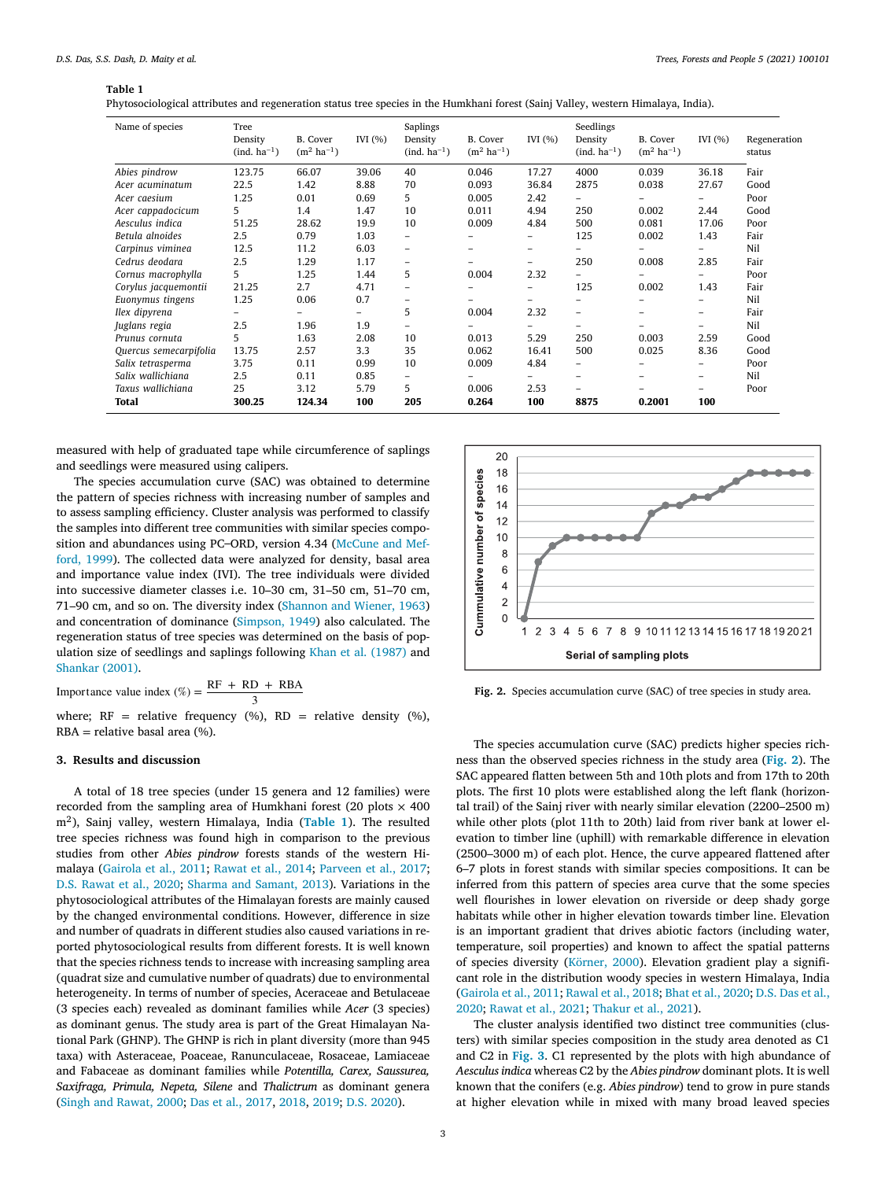#### **Table 1**

| Phytosociological attributes and regeneration status tree species in the Humkhani forest (Sainj Valley, western Himalaya, India). |  |  |
|-----------------------------------------------------------------------------------------------------------------------------------|--|--|
|                                                                                                                                   |  |  |

| Name of species        | Tree<br>Density<br>(ind. ha <sup>-1</sup> ) | <b>B.</b> Cover<br>$(m^2 \text{ ha}^{-1})$ | IVI $(% )$ | Saplings<br>Density<br>(ind. ha <sup>-1</sup> ) | B. Cover<br>$(m^2 \text{ ha}^{-1})$ | IVI $(%)$                | Seedlings<br>Density<br>(ind. ha <sup>-1</sup> ) | <b>B.</b> Cover<br>$(m^2 \text{ ha}^{-1})$ | IVI $(%)$                | Regeneration<br>status |
|------------------------|---------------------------------------------|--------------------------------------------|------------|-------------------------------------------------|-------------------------------------|--------------------------|--------------------------------------------------|--------------------------------------------|--------------------------|------------------------|
| Abies pindrow          | 123.75                                      | 66.07                                      | 39.06      | 40                                              | 0.046                               | 17.27                    | 4000                                             | 0.039                                      | 36.18                    | Fair                   |
| Acer acuminatum        | 22.5                                        | 1.42                                       | 8.88       | 70                                              | 0.093                               | 36.84                    | 2875                                             | 0.038                                      | 27.67                    | Good                   |
| Acer caesium           | 1.25                                        | 0.01                                       | 0.69       | 5                                               | 0.005                               | 2.42                     | Ξ.                                               | -                                          | $\overline{\phantom{0}}$ | Poor                   |
| Acer cappadocicum      | 5                                           | 1.4                                        | 1.47       | 10                                              | 0.011                               | 4.94                     | 250                                              | 0.002                                      | 2.44                     | Good                   |
| Aesculus indica        | 51.25                                       | 28.62                                      | 19.9       | 10                                              | 0.009                               | 4.84                     | 500                                              | 0.081                                      | 17.06                    | Poor                   |
| Betula alnoides        | 2.5                                         | 0.79                                       | 1.03       | -                                               |                                     | $\overline{\phantom{0}}$ | 125                                              | 0.002                                      | 1.43                     | Fair                   |
| Carpinus viminea       | 12.5                                        | 11.2                                       | 6.03       | -                                               |                                     | -                        | $\equiv$                                         |                                            | $\qquad \qquad$          | <b>Nil</b>             |
| Cedrus deodara         | 2.5                                         | 1.29                                       | 1.17       | -                                               |                                     | $\overline{\phantom{0}}$ | 250                                              | 0.008                                      | 2.85                     | Fair                   |
| Cornus macrophylla     | 5                                           | 1.25                                       | 1.44       | 5                                               | 0.004                               | 2.32                     | $\overline{\phantom{0}}$                         | $\overline{\phantom{0}}$                   | $\overline{\phantom{0}}$ | Poor                   |
| Corylus jacquemontii   | 21.25                                       | 2.7                                        | 4.71       | -                                               |                                     | -                        | 125                                              | 0.002                                      | 1.43                     | Fair                   |
| Euonymus tingens       | 1.25                                        | 0.06                                       | 0.7        | -                                               |                                     | $\overline{\phantom{0}}$ | -                                                | -                                          | $\equiv$                 | <b>Nil</b>             |
| Ilex dipyrena          | Ξ.                                          | -                                          | -          | 5                                               | 0.004                               | 2.32                     | $\overline{\phantom{0}}$                         | -                                          | $\equiv$                 | Fair                   |
| Juglans regia          | 2.5                                         | 1.96                                       | 1.9        | -                                               |                                     | -                        | $\overline{\phantom{0}}$                         | -                                          | $\equiv$                 | <b>Nil</b>             |
| Prunus cornuta         | 5                                           | 1.63                                       | 2.08       | 10                                              | 0.013                               | 5.29                     | 250                                              | 0.003                                      | 2.59                     | Good                   |
| Quercus semecarpifolia | 13.75                                       | 2.57                                       | 3.3        | 35                                              | 0.062                               | 16.41                    | 500                                              | 0.025                                      | 8.36                     | Good                   |
| Salix tetrasperma      | 3.75                                        | 0.11                                       | 0.99       | 10                                              | 0.009                               | 4.84                     | Ξ.                                               | -                                          | $\equiv$                 | Poor                   |
| Salix wallichiana      | 2.5                                         | 0.11                                       | 0.85       | -                                               |                                     |                          | $\overline{\phantom{0}}$                         | -                                          | $\equiv$                 | Nil                    |
| Taxus wallichiana      | 25                                          | 3.12                                       | 5.79       | 5                                               | 0.006                               | 2.53                     | $\overline{\phantom{0}}$                         |                                            | $\qquad \qquad$          | Poor                   |
| Total                  | 300.25                                      | 124.34                                     | 100        | 205                                             | 0.264                               | 100                      | 8875                                             | 0.2001                                     | 100                      |                        |

measured with help of graduated tape while circumference of saplings and seedlings were measured using calipers.

The species accumulation curve (SAC) was obtained to determine the pattern of species richness with increasing number of samples and to assess sampling efficiency. Cluster analysis was performed to classify the samples into different tree communities with similar species composition and abundances using PC–ORD, version 4.34 (McCune and Mefford, 1999). The collected data were analyzed for density, basal area and importance value index (IVI). The tree individuals were divided into successive diameter classes i.e. 10–30 cm, 31–50 cm, 51–70 cm, 71–90 cm, and so on. The diversity index (Shannon and Wiener, 1963) and concentration of dominance (Simpson, 1949) also calculated. The regeneration status of tree species was determined on the basis of population size of seedlings and saplings following Khan et al. (1987) and Shankar (2001).

Importance value index  $(\%) = \frac{RF + RD + RBA}{2}$ 3

where;  $RF =$  relative frequency (%),  $RD =$  relative density (%),  $RBA =$  relative basal area  $(\%).$ 

# **3. Results and discussion**

A total of 18 tree species (under 15 genera and 12 families) were recorded from the sampling area of Humkhani forest (20 plots  $\times$  400 m<sup>2</sup> ), Sainj valley, western Himalaya, India (**Table 1**). The resulted tree species richness was found high in comparison to the previous studies from other *Abies pindrow* forests stands of the western Himalaya (Gairola et al., 2011; Rawat et al., 2014; Parveen et al., 2017; D.S. Rawat et al., 2020; Sharma and Samant, 2013). Variations in the phytosociological attributes of the Himalayan forests are mainly caused by the changed environmental conditions. However, difference in size and number of quadrats in different studies also caused variations in reported phytosociological results from different forests. It is well known that the species richness tends to increase with increasing sampling area (quadrat size and cumulative number of quadrats) due to environmental heterogeneity. In terms of number of species, Aceraceae and Betulaceae (3 species each) revealed as dominant families while *Acer* (3 species) as dominant genus. The study area is part of the Great Himalayan National Park (GHNP). The GHNP is rich in plant diversity (more than 945 taxa) with Asteraceae, Poaceae, Ranunculaceae, Rosaceae, Lamiaceae and Fabaceae as dominant families while *Potentilla, Carex, Saussurea, Saxifraga, Primula, Nepeta, Silene* and *Thalictrum* as dominant genera (Singh and Rawat, 2000; Das et al., 2017, 2018, 2019; D.S. 2020).



**Fig. 2.** Species accumulation curve (SAC) of tree species in study area.

The species accumulation curve (SAC) predicts higher species richness than the observed species richness in the study area (**Fig. 2**). The SAC appeared flatten between 5th and 10th plots and from 17th to 20th plots. The first 10 plots were established along the left flank (horizontal trail) of the Sainj river with nearly similar elevation (2200–2500 m) while other plots (plot 11th to 20th) laid from river bank at lower elevation to timber line (uphill) with remarkable difference in elevation (2500–3000 m) of each plot. Hence, the curve appeared flattened after 6–7 plots in forest stands with similar species compositions. It can be inferred from this pattern of species area curve that the some species well flourishes in lower elevation on riverside or deep shady gorge habitats while other in higher elevation towards timber line. Elevation is an important gradient that drives abiotic factors (including water, temperature, soil properties) and known to affect the spatial patterns of species diversity (Körner, 2000). Elevation gradient play a significant role in the distribution woody species in western Himalaya, India (Gairola et al., 2011; Rawal et al., 2018; Bhat et al., 2020; D.S. Das et al., 2020; Rawat et al., 2021; Thakur et al., 2021).

The cluster analysis identified two distinct tree communities (clusters) with similar species composition in the study area denoted as C1 and C2 in **Fig. 3**. C1 represented by the plots with high abundance of *Aesculus indica* whereas C2 by the *Abies pindrow* dominant plots. It is well known that the conifers (e.g. *Abies pindrow*) tend to grow in pure stands at higher elevation while in mixed with many broad leaved species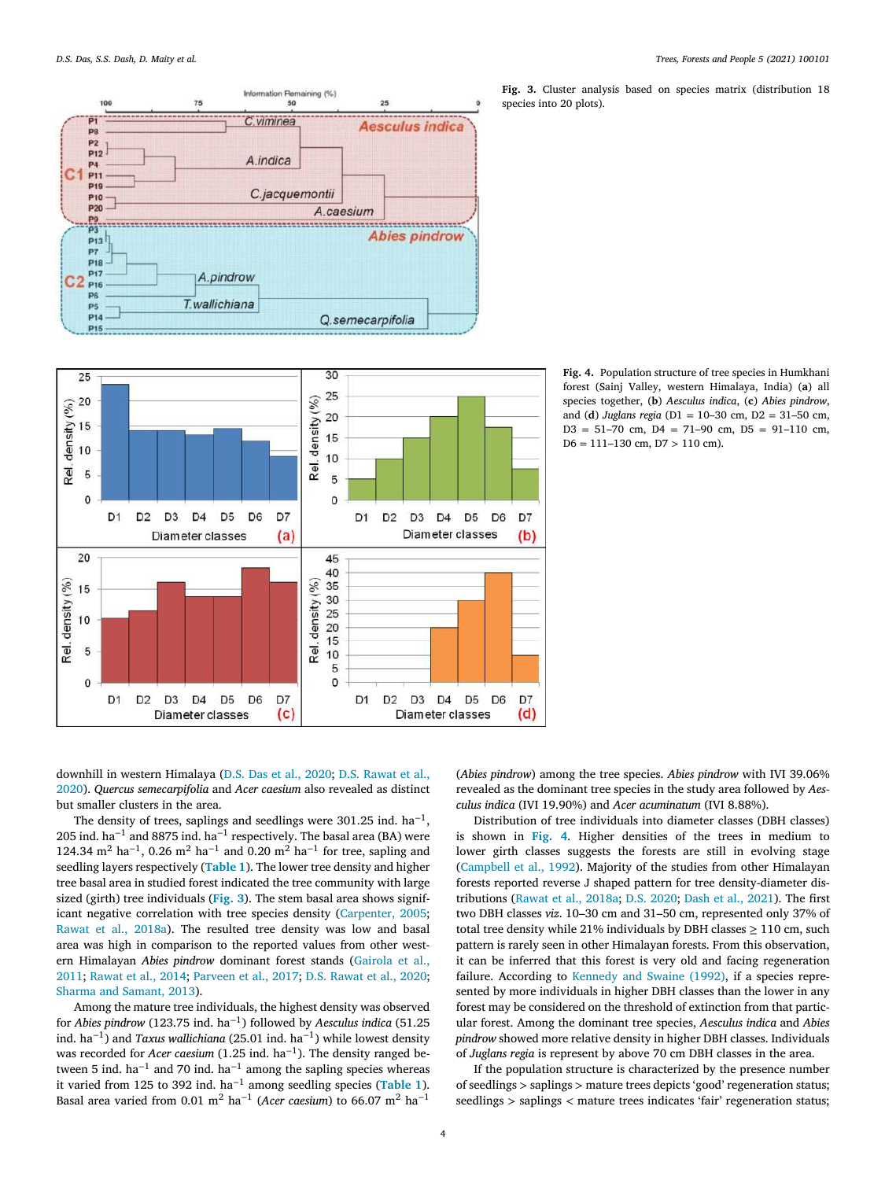



**Fig. 3.** Cluster analysis based on species matrix (distribution 18 species into 20 plots).

**Fig. 4.** Population structure of tree species in Humkhani forest (Sainj Valley, western Himalaya, India) (**a**) all species together, (**b**) *Aesculus indica*, (**c**) *Abies pindrow*, and (**d**) *Juglans regia* (D1 = 10–30 cm, D2 = 31–50 cm,  $D3 = 51 - 70$  cm,  $D4 = 71 - 90$  cm,  $D5 = 91 - 110$  cm, D6 = 111–130 cm, D7 *>* 110 cm).

downhill in western Himalaya (D.S. Das et al., 2020; D.S. Rawat et al., 2020). *Quercus semecarpifolia* and *Acer caesium* also revealed as distinct but smaller clusters in the area.

The density of trees, saplings and seedlings were 301.25 ind.  $ha^{-1}$ , 205 ind. ha<sup>-1</sup> and 8875 ind. ha<sup>-1</sup> respectively. The basal area (BA) were 124.34 m<sup>2</sup> ha<sup>-1</sup>, 0.26 m<sup>2</sup> ha<sup>-1</sup> and 0.20 m<sup>2</sup> ha<sup>-1</sup> for tree, sapling and seedling layers respectively (**Table 1**). The lower tree density and higher tree basal area in studied forest indicated the tree community with large sized (girth) tree individuals (**Fig. 3**). The stem basal area shows significant negative correlation with tree species density (Carpenter, 2005; Rawat et al., 2018a). The resulted tree density was low and basal area was high in comparison to the reported values from other western Himalayan *Abies pindrow* dominant forest stands (Gairola et al., 2011; Rawat et al., 2014; Parveen et al., 2017; D.S. Rawat et al., 2020; Sharma and Samant, 2013).

Among the mature tree individuals, the highest density was observed for *Abies pindrow* (123.75 ind. ha−<sup>1</sup> ) followed by *Aesculus indica* (51.25 ind. ha−<sup>1</sup> ) and *Taxus wallichiana* (25.01 ind. ha−<sup>1</sup> ) while lowest density was recorded for *Acer caesium* (1.25 ind. ha<sup>-1</sup>). The density ranged between 5 ind. ha<sup>-1</sup> and 70 ind. ha<sup>-1</sup> among the sapling species whereas it varied from 125 to 392 ind. ha−<sup>1</sup> among seedling species (**Table 1**). Basal area varied from 0.01 m<sup>2</sup> ha−<sup>1</sup> (*Acer caesium*) to 66.07 m<sup>2</sup> ha−<sup>1</sup>

(*Abies pindrow*) among the tree species. *Abies pindrow* with IVI 39.06% revealed as the dominant tree species in the study area followed by *Aesculus indica* (IVI 19.90%) and *Acer acuminatum* (IVI 8.88%).

Distribution of tree individuals into diameter classes (DBH classes) is shown in **Fig. 4**. Higher densities of the trees in medium to lower girth classes suggests the forests are still in evolving stage (Campbell et al., 1992). Majority of the studies from other Himalayan forests reported reverse J shaped pattern for tree density-diameter distributions (Rawat et al., 2018a; D.S. 2020; Dash et al., 2021). The first two DBH classes *viz*. 10–30 cm and 31–50 cm, represented only 37% of total tree density while 21% individuals by DBH classes  $\geq 110$  cm, such pattern is rarely seen in other Himalayan forests. From this observation, it can be inferred that this forest is very old and facing regeneration failure. According to Kennedy and Swaine (1992), if a species represented by more individuals in higher DBH classes than the lower in any forest may be considered on the threshold of extinction from that particular forest. Among the dominant tree species, *Aesculus indica* and *Abies pindrow* showed more relative density in higher DBH classes. Individuals of *Juglans regia* is represent by above 70 cm DBH classes in the area.

If the population structure is characterized by the presence number of seedlings *>* saplings *>* mature trees depicts 'good' regeneration status; seedlings *>* saplings *<* mature trees indicates 'fair' regeneration status;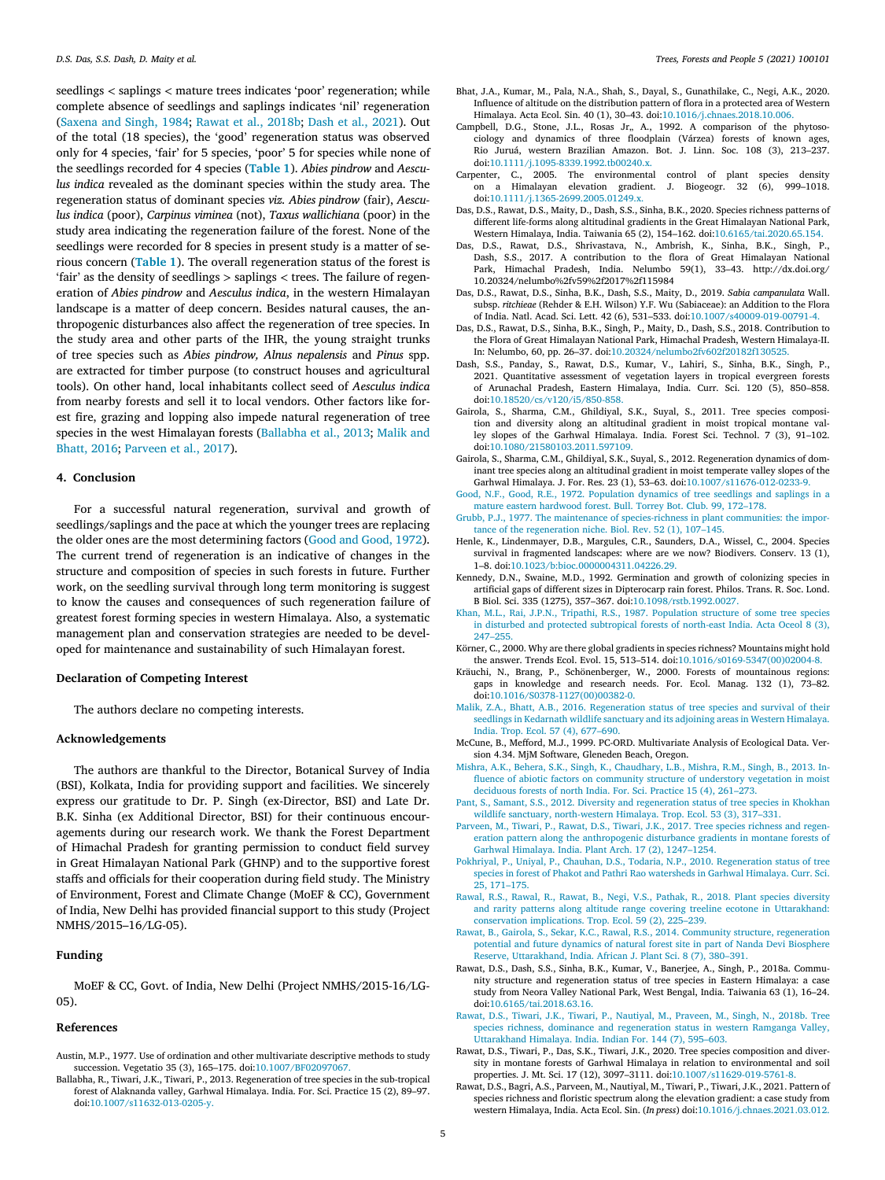seedlings *<* saplings *<* mature trees indicates 'poor' regeneration; while complete absence of seedlings and saplings indicates 'nil' regeneration (Saxena and Singh, 1984; Rawat et al., 2018b; Dash et al., 2021). Out of the total (18 species), the 'good' regeneration status was observed only for 4 species, 'fair' for 5 species, 'poor' 5 for species while none of the seedlings recorded for 4 species (**Table 1**). *Abies pindrow* and *Aesculus indica* revealed as the dominant species within the study area. The regeneration status of dominant species *viz. Abies pindrow* (fair), *Aesculus indica* (poor), *Carpinus viminea* (not), *Taxus wallichiana* (poor) in the study area indicating the regeneration failure of the forest. None of the seedlings were recorded for 8 species in present study is a matter of serious concern (**Table 1**). The overall regeneration status of the forest is 'fair' as the density of seedlings *>* saplings *<* trees. The failure of regeneration of *Abies pindrow* and *Aesculus indica*, in the western Himalayan landscape is a matter of deep concern. Besides natural causes, the anthropogenic disturbances also affect the regeneration of tree species. In the study area and other parts of the IHR, the young straight trunks of tree species such as *Abies pindrow, Alnus nepalensis* and *Pinus* spp. are extracted for timber purpose (to construct houses and agricultural tools). On other hand, local inhabitants collect seed of *Aesculus indica* from nearby forests and sell it to local vendors. Other factors like forest fire, grazing and lopping also impede natural regeneration of tree species in the west Himalayan forests (Ballabha et al., 2013; Malik and Bhatt, 2016; Parveen et al., 2017).

#### **4. Conclusion**

For a successful natural regeneration, survival and growth of seedlings/saplings and the pace at which the younger trees are replacing the older ones are the most determining factors (Good and Good, 1972). The current trend of regeneration is an indicative of changes in the structure and composition of species in such forests in future. Further work, on the seedling survival through long term monitoring is suggest to know the causes and consequences of such regeneration failure of greatest forest forming species in western Himalaya. Also, a systematic management plan and conservation strategies are needed to be developed for maintenance and sustainability of such Himalayan forest.

#### **Declaration of Competing Interest**

The authors declare no competing interests.

## **Acknowledgements**

The authors are thankful to the Director, Botanical Survey of India (BSI), Kolkata, India for providing support and facilities. We sincerely express our gratitude to Dr. P. Singh (ex-Director, BSI) and Late Dr. B.K. Sinha (ex Additional Director, BSI) for their continuous encouragements during our research work. We thank the Forest Department of Himachal Pradesh for granting permission to conduct field survey in Great Himalayan National Park (GHNP) and to the supportive forest staffs and officials for their cooperation during field study. The Ministry of Environment, Forest and Climate Change (MoEF & CC), Government of India, New Delhi has provided financial support to this study (Project NMHS/2015–16/LG-05).

# **Funding**

MoEF & CC, Govt. of India, New Delhi (Project NMHS/2015-16/LG-05).

#### **References**

- Austin, M.P., 1977. Use of ordination and other multivariate descriptive methods to study succession. Vegetatio 35 (3), 165–175. doi:10.1007/BF02097067.
- Ballabha, R., Tiwari, J.K., Tiwari, P., 2013. Regeneration of tree species in the sub-tropical forest of Alaknanda valley, Garhwal Himalaya. India. For. Sci. Practice 15 (2), 89–97. doi:10.1007/s11632-013-0205-y.
- Bhat, J.A., Kumar, M., Pala, N.A., Shah, S., Dayal, S., Gunathilake, C., Negi, A.K., 2020. Influence of altitude on the distribution pattern of flora in a protected area of Western Himalaya. Acta Ecol. Sin. 40 (1), 30–43. doi:10.1016/j.chnaes.2018.10.006.
- Campbell, D.G., Stone, J.L., Rosas Jr., A., 1992. A comparison of the phytosociology and dynamics of three floodplain (Várzea) forests of known ages, Rio Juruá, western Brazilian Amazon. Bot. J. Linn. Soc. 108 (3), 213–237. doi:10.1111/j.1095-8339.1992.tb00240.x.
- Carpenter, C., 2005. The environmental control of plant species density on a Himalayan elevation gradient. J. Biogeogr. 32 (6), 999–1018. doi:10.1111/j.1365-2699.2005.01249.x.
- Das, D.S., Rawat, D.S., Maity, D., Dash, S.S., Sinha, B.K., 2020. Species richness patterns of different life-forms along altitudinal gradients in the Great Himalayan National Park, Western Himalaya, India. Taiwania 65 (2), 154–162. doi:10.6165/tai.2020.65.154.
- Das, D.S., Rawat, D.S., Shrivastava, N., Ambrish, K., Sinha, B.K., Singh, P., Dash, S.S., 2017. A contribution to the flora of Great Himalayan National Park, Himachal Pradesh, India. Nelumbo 59(1), 33–43. http://dx.doi.org/ 10.20324/nelumbo%2fv59%2f2017%2f115984
- Das, D.S., Rawat, D.S., Sinha, B.K., Dash, S.S., Maity, D., 2019. *Sabia campanulata* Wall. subsp. *ritchieae* (Rehder & E.H. Wilson) Y.F. Wu (Sabiaceae): an Addition to the Flora of India. Natl. Acad. Sci. Lett. 42 (6), 531–533. doi:10.1007/s40009-019-00791-4.
- Das, D.S., Rawat, D.S., Sinha, B.K., Singh, P., Maity, D., Dash, S.S., 2018. Contribution to the Flora of Great Himalayan National Park, Himachal Pradesh, Western Himalaya-II. In: Nelumbo, 60, pp. 26–37. doi:10.20324/nelumbo2fv602f20182f130525.
- Dash, S.S., Panday, S., Rawat, D.S., Kumar, V., Lahiri, S., Sinha, B.K., Singh, P., 2021. Quantitative assessment of vegetation layers in tropical evergreen forests of Arunachal Pradesh, Eastern Himalaya, India. Curr. Sci. 120 (5), 850–858. doi:10.18520/cs/v120/i5/850-858.
- Gairola, S., Sharma, C.M., Ghildiyal, S.K., Suyal, S., 2011. Tree species composition and diversity along an altitudinal gradient in moist tropical montane valley slopes of the Garhwal Himalaya. India. Forest Sci. Technol. 7 (3), 91–102. doi:10.1080/21580103.2011.597109.
- Gairola, S., Sharma, C.M., Ghildiyal, S.K., Suyal, S., 2012. Regeneration dynamics of dominant tree species along an altitudinal gradient in moist temperate valley slopes of the Garhwal Himalaya. J. For. Res. 23 (1), 53–63. doi:10.1007/s11676-012-0233-9.
- Good, N.F., Good, R.E., 1972. Population dynamics of tree seedlings and saplings in a mature eastern hardwood forest. Bull. Torrey Bot. Club. 99, 172–178.
- Grubb, P.J., 1977. The maintenance of species-richness in plant communities: the importance of the regeneration niche. Biol. Rev. 52 (1), 107–145.
- Henle, K., Lindenmayer, D.B., Margules, C.R., Saunders, D.A., Wissel, C., 2004. Species survival in fragmented landscapes: where are we now? Biodivers. Conserv. 13 (1), 1–8. doi:10.1023/b:bioc.0000004311.04226.29.
- Kennedy, D.N., Swaine, M.D., 1992. Germination and growth of colonizing species in artificial gaps of different sizes in Dipterocarp rain forest. Philos. Trans. R. Soc. Lond. B Biol. Sci. 335 (1275), 357–367. doi:10.1098/rstb.1992.0027.
- Khan, M.L., Rai, J.P.N., Tripathi, R.S., 1987. Population structure of some tree species in disturbed and protected subtropical forests of north-east India. Acta Oceol 8 (3), 247–255.
- Körner, C., 2000. Why are there global gradients in species richness? Mountains might hold the answer. Trends Ecol. Evol. 15, 513–514. doi:10.1016/s0169-5347(00)02004-8.
- Kräuchi, N., Brang, P., Schönenberger, W., 2000. Forests of mountainous regions: gaps in knowledge and research needs. For. Ecol. Manag. 132 (1), 73–82. doi:10.1016/S0378-1127(00)00382-0.
- Malik, Z.A., Bhatt, A.B., 2016. Regeneration status of tree species and survival of their seedlings in Kedarnath wildlife sanctuary and its adjoining areas in Western Himalaya. India. Trop. Ecol. 57 (4), 677–690.
- McCune, B., Mefford, M.J., 1999. PC-ORD. Multivariate Analysis of Ecological Data. Version 4.34. MjM Software, Gleneden Beach, Oregon.
- Mishra, A.K., Behera, S.K., Singh, K., Chaudhary, L.B., Mishra, R.M., Singh, B., 2013. Influence of abiotic factors on community structure of understory vegetation in moist deciduous forests of north India. For. Sci. Practice 15 (4), 261–273.
- Pant, S., Samant, S.S., 2012. Diversity and regeneration status of tree species in Khokhan wildlife sanctuary, north-western Himalaya. Trop. Ecol. 53 (3), 317–331.
- Parveen, M., Tiwari, P., Rawat, D.S., Tiwari, J.K., 2017. Tree species richness and regeneration pattern along the anthropogenic disturbance gradients in montane forests of Garhwal Himalaya. India. Plant Arch. 17 (2), 1247–1254.
- Pokhriyal, P., Uniyal, P., Chauhan, D.S., Todaria, N.P., 2010. Regeneration status of tree species in forest of Phakot and Pathri Rao watersheds in Garhwal Himalaya. Curr. Sci. 25, 171–175.
- Rawal, R.S., Rawal, R., Rawat, B., Negi, V.S., Pathak, R., 2018. Plant species diversity and rarity patterns along altitude range covering treeline ecotone in Uttarakhand: conservation implications. Trop. Ecol. 59 (2), 225–239.
- Rawat, B., Gairola, S., Sekar, K.C., Rawal, R.S., 2014. Community structure, regeneration potential and future dynamics of natural forest site in part of Nanda Devi Biosphere Reserve, Uttarakhand, India. African J. Plant Sci. 8 (7), 380–391.
- Rawat, D.S., Dash, S.S., Sinha, B.K., Kumar, V., Banerjee, A., Singh, P., 2018a. Community structure and regeneration status of tree species in Eastern Himalaya: a case study from Neora Valley National Park, West Bengal, India. Taiwania 63 (1), 16–24. doi:10.6165/tai.2018.63.16.
- Rawat, D.S., Tiwari, J.K., Tiwari, P., Nautiyal, M., Praveen, M., Singh, N., 2018b. Tree species richness, dominance and regeneration status in western Ramganga Valley, Uttarakhand Himalaya. India. Indian For. 144 (7), 595–603.
- Rawat, D.S., Tiwari, P., Das, S.K., Tiwari, J.K., 2020. Tree species composition and diversity in montane forests of Garhwal Himalaya in relation to environmental and soil properties. J. Mt. Sci. 17 (12), 3097–3111. doi:10.1007/s11629-019-5761-8.
- Rawat, D.S., Bagri, A.S., Parveen, M., Nautiyal, M., Tiwari, P., Tiwari, J.K., 2021. Pattern of species richness and floristic spectrum along the elevation gradient: a case study from western Himalaya, India. Acta Ecol. Sin. (*In press*) doi:10.1016/j.chnaes.2021.03.012.